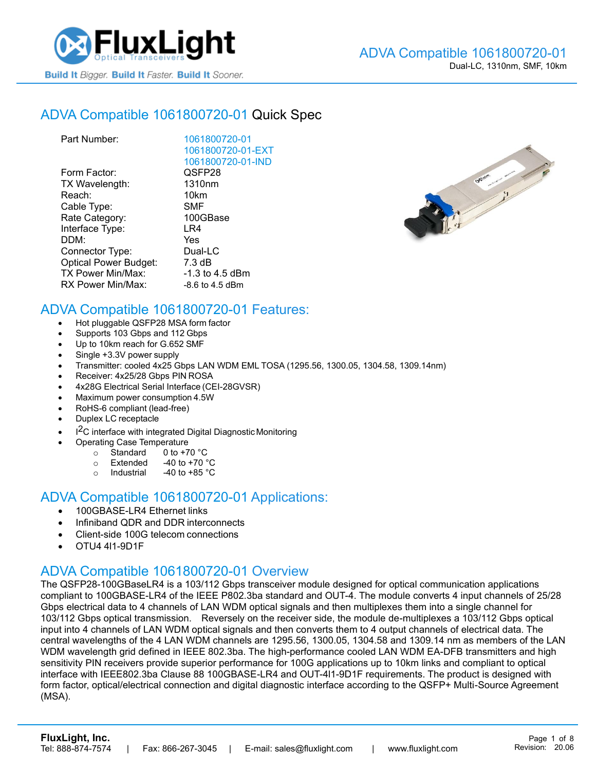

## ADVA [Compatible 1061800720-01](https://www.fluxlight.com/) Quick Spec

| Part Number:                 | 1061800720-01      |
|------------------------------|--------------------|
|                              | 1061800720-01-EXT  |
|                              | 1061800720-01-IND  |
| Form Factor:                 | QSFP28             |
| TX Wavelength:               | 1310 <sub>nm</sub> |
| Reach:                       | 10km               |
| Cable Type:                  | <b>SMF</b>         |
| Rate Category:               | 100GBase           |
| Interface Type:              | LR4                |
| DDM:                         | Yes                |
| Connector Type:              | Dual-LC            |
| <b>Optical Power Budget:</b> | 7.3 dB             |
| <b>TX Power Min/Max:</b>     | $-1.3$ to 4.5 dBm  |
| RX Power Min/Max:            | $-8.6$ to 4.5 dBm  |
|                              |                    |



## ADVA Compatible [1061800720-01](https://www.fluxlight.com/) Features:

- Hot pluggable QSFP28 MSA form factor
- Supports 103 Gbps and 112 Gbps
- Up to 10km reach for G.652 SMF
- Single +3.3V power supply
- Transmitter: cooled 4x25 Gbps LAN WDM EML TOSA (1295.56, 1300.05, 1304.58, 1309.14nm)
- Receiver: 4x25/28 Gbps PIN ROSA
- 4x28G Electrical Serial Interface (CEI-28GVSR)
- Maximum power consumption 4.5W
- RoHS-6 compliant (lead-free)
- Duplex LC receptacle
- I<sup>2</sup>C interface with integrated Digital Diagnostic Monitoring
	- Operating Case Temperature
		- o Standard 0 to +70 °C
		- $\circ$  Extended -40 to +70  $\degree$ C
		- o Industrial  $-40$  to  $+85$  °C

#### ADVA Compatible [1061800720-01](https://www.fluxlight.com/) Applications:

- 100GBASE-LR4 Ethernet links
- Infiniband QDR and DDR interconnects
- Client-side 100G telecom connections
- OTU4 4l1-9D1F

#### ADVA Compatible [1061800720-01](https://www.fluxlight.com/) Overview

The QSFP28-100GBaseLR4 is a 103/112 Gbps transceiver module designed for optical communication applications compliant to 100GBASE-LR4 of the IEEE P802.3ba standard and OUT-4. The module converts 4 input channels of 25/28 Gbps electrical data to 4 channels of LAN WDM optical signals and then multiplexes them into a single channel for 103/112 Gbps optical transmission. Reversely on the receiver side, the module de-multiplexes a 103/112 Gbps optical input into 4 channels of LAN WDM optical signals and then converts them to 4 output channels of electrical data. The central wavelengths of the 4 LAN WDM channels are 1295.56, 1300.05, 1304.58 and 1309.14 nm as members of the LAN WDM wavelength grid defined in IEEE 802.3ba. The high-performance cooled LAN WDM EA-DFB transmitters and high sensitivity PIN receivers provide superior performance for 100G applications up to 10km links and compliant to optical interface with IEEE802.3ba Clause 88 100GBASE-LR4 and OUT-4l1-9D1F requirements. The product is designed with form factor, optical/electrical connection and digital diagnostic interface according to the QSFP+ Multi-Source Agreement (MSA).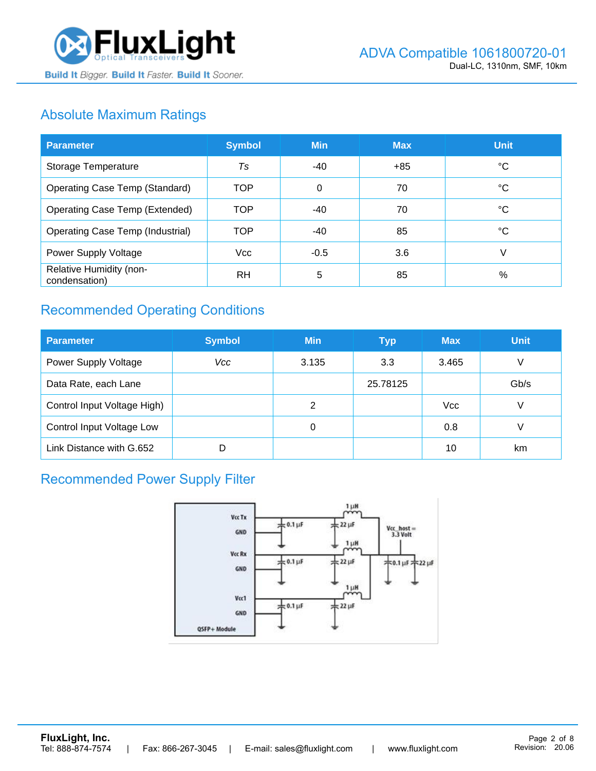

# Absolute Maximum Ratings

| <b>Parameter</b>                         | <b>Symbol</b> | <b>Min</b> | <b>Max</b> | <b>Unit</b> |
|------------------------------------------|---------------|------------|------------|-------------|
| Storage Temperature                      | Ts            | -40        | $+85$      | ℃           |
| <b>Operating Case Temp (Standard)</b>    | <b>TOP</b>    | $\Omega$   | 70         | °C          |
| <b>Operating Case Temp (Extended)</b>    | <b>TOP</b>    | $-40$      | 70         | °C          |
| <b>Operating Case Temp (Industrial)</b>  | <b>TOP</b>    | -40        | 85         | °C          |
| Power Supply Voltage                     | <b>Vcc</b>    | $-0.5$     | 3.6        | V           |
| Relative Humidity (non-<br>condensation) | <b>RH</b>     | 5          | 85         | %           |

# Recommended Operating Conditions

| <b>Parameter</b>            | <b>Symbol</b> | <b>Min</b> | <b>Typ</b> | <b>Max</b> | <b>Unit</b> |
|-----------------------------|---------------|------------|------------|------------|-------------|
| Power Supply Voltage        | Vcc           | 3.135      | 3.3        | 3.465      | V           |
| Data Rate, each Lane        |               |            | 25.78125   |            | Gb/s        |
| Control Input Voltage High) |               | 2          |            | <b>Vcc</b> | V           |
| Control Input Voltage Low   |               | 0          |            | 0.8        |             |
| Link Distance with G.652    |               |            |            | 10         | km          |

# Recommended Power Supply Filter

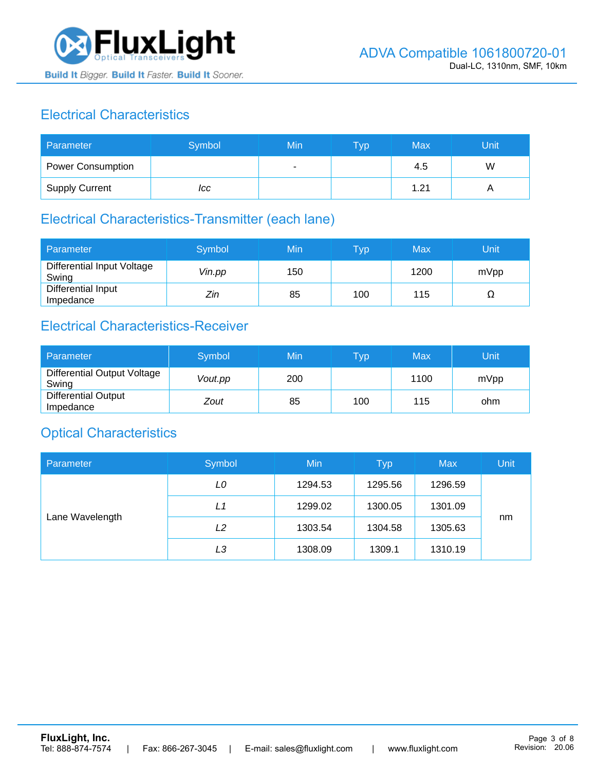

# Electrical Characteristics

| Parameter                | Symbol | Min | <b>Typ</b> | <b>Max</b> | Unit |
|--------------------------|--------|-----|------------|------------|------|
| <b>Power Consumption</b> |        |     |            | 4.5        | W    |
| <b>Supply Current</b>    | ICC    |     |            | 1.21       |      |

# Electrical Characteristics-Transmitter (each lane)

| Parameter                           | Symbol | Min | $\overline{\mathsf{T}}\mathsf{y}\mathsf{p}$ | Max  | Unit |
|-------------------------------------|--------|-----|---------------------------------------------|------|------|
| Differential Input Voltage<br>Swing | Vin.pp | 150 |                                             | 1200 | mVpp |
| Differential Input<br>Impedance     | Zin    | 85  | 100                                         | 115  | 77   |

## Electrical Characteristics-Receiver

| Parameter                               | Symbol  | Min | Typ | Max  | Unit |
|-----------------------------------------|---------|-----|-----|------|------|
| Differential Output Voltage<br>Swing    | Vout.pp | 200 |     | 1100 | mVpp |
| <b>Differential Output</b><br>Impedance | Zout    | 85  | 100 | 115  | ohm  |

## Optical Characteristics

| Parameter       | Symbol         | Min     | <b>Typ</b> | <b>Max</b> | Unit |
|-----------------|----------------|---------|------------|------------|------|
| Lane Wavelength | LO             | 1294.53 | 1295.56    | 1296.59    |      |
|                 | L1             | 1299.02 | 1300.05    | 1301.09    |      |
|                 | L2             | 1303.54 | 1304.58    | 1305.63    | nm   |
|                 | L <sub>3</sub> | 1308.09 | 1309.1     | 1310.19    |      |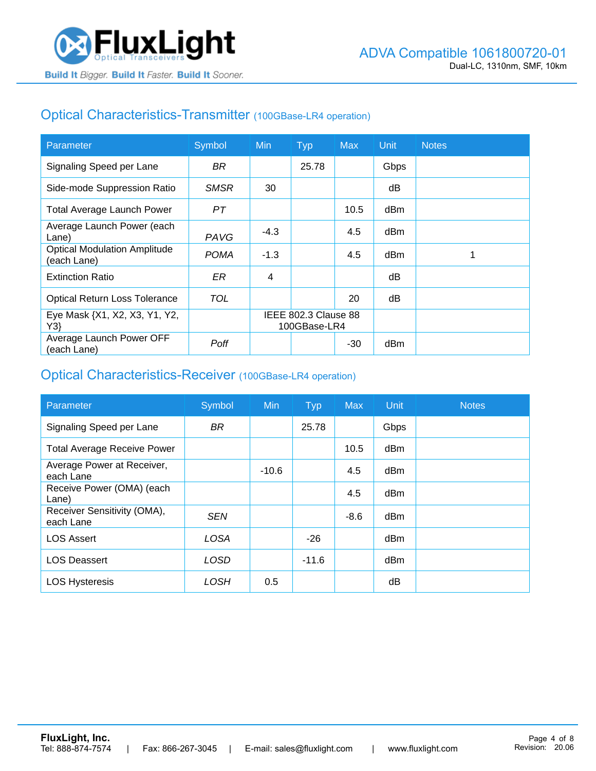## Optical Characteristics-Transmitter (100GBase-LR4 operation)

| Parameter                                          | Symbol      | <b>Min</b>                           | <b>Typ</b> | <b>Max</b> | Unit | <b>Notes</b> |
|----------------------------------------------------|-------------|--------------------------------------|------------|------------|------|--------------|
| Signaling Speed per Lane                           | BR.         |                                      | 25.78      |            | Gbps |              |
| Side-mode Suppression Ratio                        | <b>SMSR</b> | 30                                   |            |            | dB   |              |
| <b>Total Average Launch Power</b>                  | PТ          |                                      |            | 10.5       | dBm  |              |
| Average Launch Power (each<br>Lane)                | <b>PAVG</b> | $-4.3$                               |            | 4.5        | dBm  |              |
| <b>Optical Modulation Amplitude</b><br>(each Lane) | <b>POMA</b> | $-1.3$                               |            | 4.5        | dBm  |              |
| <b>Extinction Ratio</b>                            | ER          | 4                                    |            |            | dВ   |              |
| <b>Optical Return Loss Tolerance</b>               | TOL         |                                      |            | 20         | dB   |              |
| Eye Mask {X1, X2, X3, Y1, Y2,<br>Y3                |             | IEEE 802.3 Clause 88<br>100GBase-LR4 |            |            |      |              |
| Average Launch Power OFF<br>(each Lane)            | Poff        |                                      |            | $-30$      | dBm  |              |

#### Optical Characteristics-Receiver (100GBase-LR4 operation)

| Parameter                                | Symbol      | <b>Min</b> | <b>Typ</b> | <b>Max</b> | Unit | <b>Notes</b> |
|------------------------------------------|-------------|------------|------------|------------|------|--------------|
| Signaling Speed per Lane                 | <b>BR</b>   |            | 25.78      |            | Gbps |              |
| <b>Total Average Receive Power</b>       |             |            |            | 10.5       | dBm  |              |
| Average Power at Receiver,<br>each Lane  |             | $-10.6$    |            | 4.5        | dBm  |              |
| Receive Power (OMA) (each<br>Lane)       |             |            |            | 4.5        | dBm  |              |
| Receiver Sensitivity (OMA),<br>each Lane | <b>SEN</b>  |            |            | $-8.6$     | dBm  |              |
| <b>LOS Assert</b>                        | <b>LOSA</b> |            | $-26$      |            | dBm  |              |
| <b>LOS Deassert</b>                      | LOSD        |            | $-11.6$    |            | dBm  |              |
| <b>LOS Hysteresis</b>                    | LOSH        | 0.5        |            |            | dΒ   |              |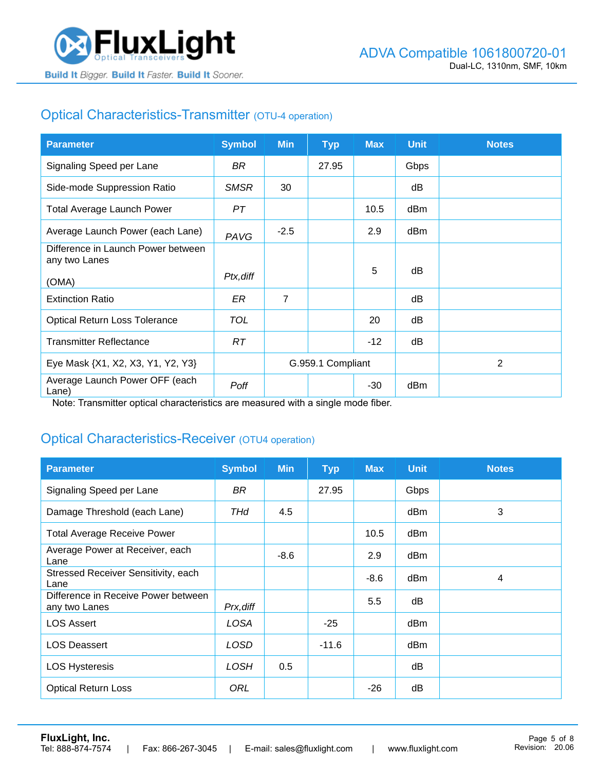

# Optical Characteristics-Transmitter (OTU-4 operation)

| <b>Parameter</b>                                    | <b>Symbol</b> | <b>Min</b>        | <b>Typ</b> | <b>Max</b> | <b>Unit</b> | <b>Notes</b> |
|-----------------------------------------------------|---------------|-------------------|------------|------------|-------------|--------------|
| Signaling Speed per Lane                            | BR            |                   | 27.95      |            | Gbps        |              |
| Side-mode Suppression Ratio                         | <b>SMSR</b>   | 30                |            |            | dB          |              |
| <b>Total Average Launch Power</b>                   | PТ            |                   |            | 10.5       | dBm         |              |
| Average Launch Power (each Lane)                    | PAVG          | $-2.5$            |            | 2.9        | dBm         |              |
| Difference in Launch Power between<br>any two Lanes |               |                   |            |            |             |              |
| (OMA)                                               | Ptx, diff     |                   |            | 5          | dB          |              |
| <b>Extinction Ratio</b>                             | ER            | $\overline{7}$    |            |            | dB          |              |
| <b>Optical Return Loss Tolerance</b>                | TOL           |                   |            | 20         | dB          |              |
| <b>Transmitter Reflectance</b>                      | RT            |                   |            | $-12$      | dB          |              |
| Eye Mask {X1, X2, X3, Y1, Y2, Y3}                   |               | G.959.1 Compliant |            |            |             | 2            |
| Average Launch Power OFF (each<br>Lane)             | Poff          |                   |            | $-30$      | dBm         |              |

Note: Transmitter optical characteristics are measured with a single mode fiber.

## Optical Characteristics-Receiver (OTU4 operation)

| <b>Parameter</b>                                     | <b>Symbol</b> | <b>Min</b> | <b>Typ</b> | <b>Max</b> | <b>Unit</b> | <b>Notes</b> |
|------------------------------------------------------|---------------|------------|------------|------------|-------------|--------------|
| Signaling Speed per Lane                             | BR            |            | 27.95      |            | Gbps        |              |
| Damage Threshold (each Lane)                         | THd           | 4.5        |            |            | dBm         | 3            |
| <b>Total Average Receive Power</b>                   |               |            |            | 10.5       | dBm         |              |
| Average Power at Receiver, each<br>Lane              |               | $-8.6$     |            | 2.9        | dBm         |              |
| Stressed Receiver Sensitivity, each<br>Lane          |               |            |            | $-8.6$     | dBm         | 4            |
| Difference in Receive Power between<br>any two Lanes | Prx, diff     |            |            | 5.5        | dB          |              |
| <b>LOS Assert</b>                                    | LOSA          |            | $-25$      |            | dBm         |              |
| <b>LOS Deassert</b>                                  | <b>LOSD</b>   |            | $-11.6$    |            | dBm         |              |
| <b>LOS Hysteresis</b>                                | LOSH          | 0.5        |            |            | dB          |              |
| <b>Optical Return Loss</b>                           | ORL           |            |            | $-26$      | dB          |              |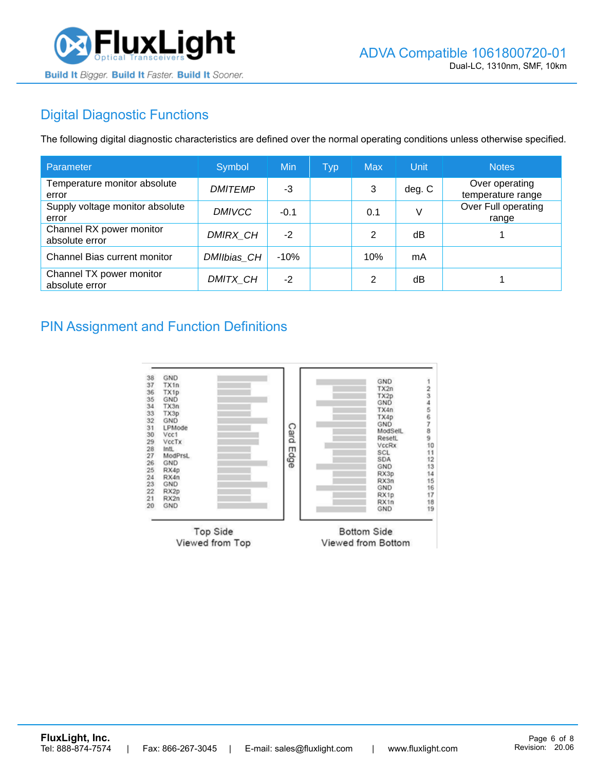

# Digital Diagnostic Functions

The following digital diagnostic characteristics are defined over the normal operating conditions unless otherwise specified.

| Parameter                                  | Symbol         | Min    | <b>Typ</b> | <b>Max</b> | Unit   | <b>Notes</b>                        |
|--------------------------------------------|----------------|--------|------------|------------|--------|-------------------------------------|
| Temperature monitor absolute<br>error      | <b>DMITEMP</b> | -3     |            | 3          | deg. C | Over operating<br>temperature range |
| Supply voltage monitor absolute<br>error   | <b>DMIVCC</b>  | $-0.1$ |            | 0.1        | V      | Over Full operating<br>range        |
| Channel RX power monitor<br>absolute error | DMIRX_CH       | $-2$   |            | 2          | dB     |                                     |
| Channel Bias current monitor               | DMIIbias CH    | $-10%$ |            | 10%        | mA     |                                     |
| Channel TX power monitor<br>absolute error | DMITX CH       | $-2$   |            | 2          | dB     |                                     |

#### PIN Assignment and Function Definitions

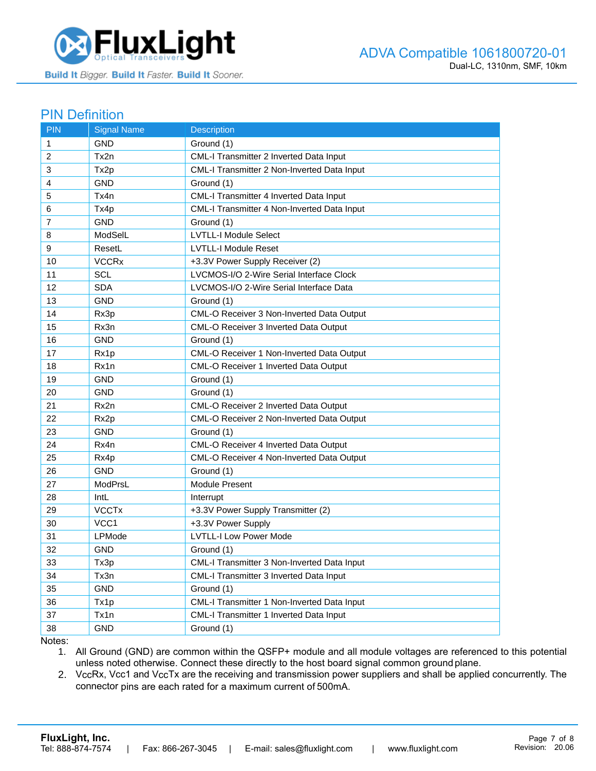

#### PIN Definition

| <b>PIN</b>     | <b>Signal Name</b>      | <b>Description</b>                          |
|----------------|-------------------------|---------------------------------------------|
| 1              | <b>GND</b>              | Ground (1)                                  |
| 2              | Tx2n                    | CML-I Transmitter 2 Inverted Data Input     |
| 3              | Tx2p                    | CML-I Transmitter 2 Non-Inverted Data Input |
| 4              | <b>GND</b>              | Ground (1)                                  |
| 5              | Tx4n                    | CML-I Transmitter 4 Inverted Data Input     |
| 6              | Tx4p                    | CML-I Transmitter 4 Non-Inverted Data Input |
| $\overline{7}$ | <b>GND</b>              | Ground (1)                                  |
| 8              | ModSelL                 | <b>LVTLL-I Module Select</b>                |
| 9              | ResetL                  | <b>LVTLL-I Module Reset</b>                 |
| 10             | <b>VCCR<sub>x</sub></b> | +3.3V Power Supply Receiver (2)             |
| 11             | <b>SCL</b>              | LVCMOS-I/O 2-Wire Serial Interface Clock    |
| 12             | <b>SDA</b>              | LVCMOS-I/O 2-Wire Serial Interface Data     |
| 13             | <b>GND</b>              | Ground (1)                                  |
| 14             | Rx3p                    | CML-O Receiver 3 Non-Inverted Data Output   |
| 15             | Rx3n                    | CML-O Receiver 3 Inverted Data Output       |
| 16             | GND                     | Ground (1)                                  |
| 17             | Rx1p                    | CML-O Receiver 1 Non-Inverted Data Output   |
| 18             | Rx1n                    | CML-O Receiver 1 Inverted Data Output       |
| 19             | <b>GND</b>              | Ground (1)                                  |
| 20             | <b>GND</b>              | Ground (1)                                  |
| 21             | Rx2n                    | CML-O Receiver 2 Inverted Data Output       |
| 22             | Rx2p                    | CML-O Receiver 2 Non-Inverted Data Output   |
| 23             | GND                     | Ground (1)                                  |
| 24             | Rx4n                    | CML-O Receiver 4 Inverted Data Output       |
| 25             | Rx4p                    | CML-O Receiver 4 Non-Inverted Data Output   |
| 26             | <b>GND</b>              | Ground (1)                                  |
| 27             | ModPrsL                 | Module Present                              |
| 28             | IntL                    | Interrupt                                   |
| 29             | <b>VCCTx</b>            | +3.3V Power Supply Transmitter (2)          |
| 30             | VCC1                    | +3.3V Power Supply                          |
| 31             | LPMode                  | <b>LVTLL-I Low Power Mode</b>               |
| 32             | <b>GND</b>              | Ground (1)                                  |
| 33             | Tx3p                    | CML-I Transmitter 3 Non-Inverted Data Input |
| 34             | Tx3n                    | CML-I Transmitter 3 Inverted Data Input     |
| 35             | <b>GND</b>              | Ground (1)                                  |
| 36             | Tx1p                    | CML-I Transmitter 1 Non-Inverted Data Input |
| 37             | Tx1n                    | CML-I Transmitter 1 Inverted Data Input     |
| 38             | <b>GND</b>              | Ground (1)                                  |

Notes:

1. All Ground (GND) are common within the QSFP+ module and all module voltages are referenced to this potential unless noted otherwise. Connect these directly to the host board signal common ground plane.

2. VccRx, Vcc1 and VccTx are the receiving and transmission power suppliers and shall be applied concurrently. The connector pins are each rated for a maximum current of 500mA.